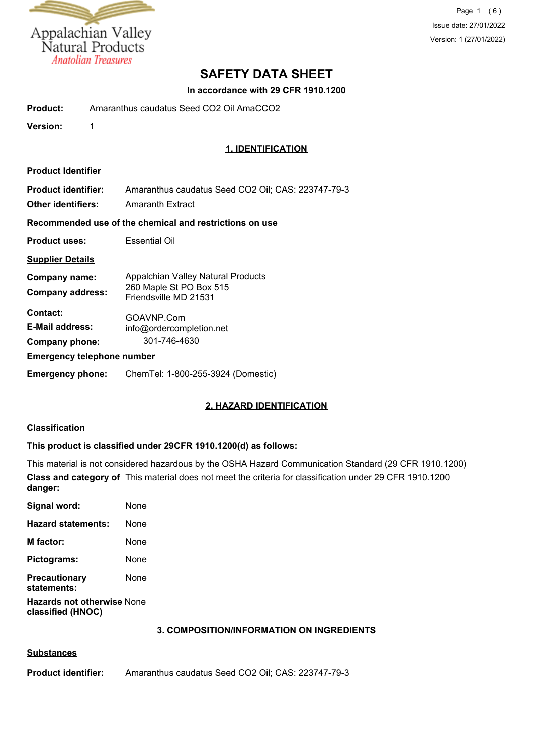

Page 1 (6) Issue date: 27/01/2022 Version: 1 (27/01/2022)

# **SAFETY DATA SHEET**

#### **In accordance with 29 CFR 1910.1200**

| Product:                                                | Amaranthus caudatus Seed CO2 Oil AmaCCO2                                               |  |  |
|---------------------------------------------------------|----------------------------------------------------------------------------------------|--|--|
| Version:                                                | 1                                                                                      |  |  |
|                                                         | <b>1. IDENTIFICATION</b>                                                               |  |  |
| <b>Product Identifier</b>                               |                                                                                        |  |  |
| <b>Product identifier:</b><br><b>Other identifiers:</b> | Amaranthus caudatus Seed CO2 Oil; CAS: 223747-79-3<br><b>Amaranth Extract</b>          |  |  |
|                                                         | Recommended use of the chemical and restrictions on use                                |  |  |
| Essential Oil<br><b>Product uses:</b>                   |                                                                                        |  |  |
| <b>Supplier Details</b>                                 |                                                                                        |  |  |
| Company name:<br><b>Company address:</b>                | Appalchian Valley Natural Products<br>260 Maple St PO Box 515<br>Friendsville MD 21531 |  |  |
| Contact:<br><b>E-Mail address:</b><br>Company phone:    | GOAVNP.Com<br>info@ordercompletion.net<br>301-746-4630                                 |  |  |
|                                                         | <b>Emergency telephone number</b>                                                      |  |  |
| <b>Emergency phone:</b>                                 | ChemTel: 1-800-255-3924 (Domestic)                                                     |  |  |

# **2. HAZARD IDENTIFICATION**

# **Classification**

### **This product is classified under 29CFR 1910.1200(d) as follows:**

This material is not considered hazardous by the OSHA Hazard Communication Standard (29 CFR 1910.1200) **Class and category of** This material does not meet the criteria for classification under 29 CFR 1910.1200 **danger:**

| Signal word:                                           | None |  |
|--------------------------------------------------------|------|--|
| <b>Hazard statements:</b>                              | None |  |
| <b>M</b> factor:                                       | None |  |
| Pictograms:                                            | None |  |
| <b>Precautionary</b><br>statements:                    | None |  |
| <b>Hazards not otherwise None</b><br>classified (HNOC) |      |  |

#### **3. COMPOSITION/INFORMATION ON INGREDIENTS**

#### **Substances**

**Product identifier:** Amaranthus caudatus Seed CO2 Oil; CAS: 223747-79-3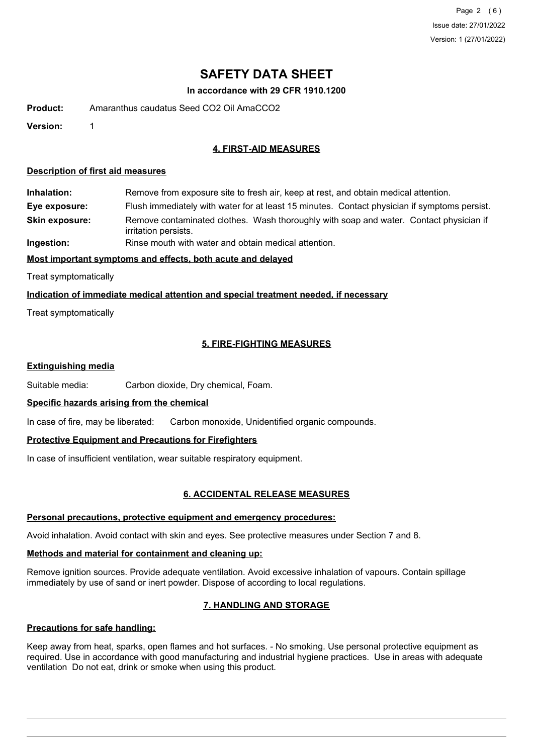Page 2 (6) Issue date: 27/01/2022 Version: 1 (27/01/2022)

# **SAFETY DATA SHEET**

#### **In accordance with 29 CFR 1910.1200**

**Product:** Amaranthus caudatus Seed CO2 Oil AmaCCO2

**Version:** 1

## **4. FIRST-AID MEASURES**

#### **Description of first aid measures**

**Inhalation:** Remove from exposure site to fresh air, keep at rest, and obtain medical attention.

**Eye exposure:** Flush immediately with water for at least 15 minutes. Contact physician if symptoms persist.

Remove contaminated clothes. Wash thoroughly with soap and water. Contact physician if irritation persists. **Skin exposure:**

**Ingestion:** Rinse mouth with water and obtain medical attention.

## **Most important symptoms and effects, both acute and delayed**

Treat symptomatically

#### **Indication of immediate medical attention and special treatment needed, if necessary**

Treat symptomatically

# **5. FIRE-FIGHTING MEASURES**

#### **Extinguishing media**

Suitable media: Carbon dioxide, Dry chemical, Foam.

#### **Specific hazards arising from the chemical**

In case of fire, may be liberated: Carbon monoxide, Unidentified organic compounds.

#### **Protective Equipment and Precautions for Firefighters**

In case of insufficient ventilation, wear suitable respiratory equipment.

# **6. ACCIDENTAL RELEASE MEASURES**

#### **Personal precautions, protective equipment and emergency procedures:**

Avoid inhalation. Avoid contact with skin and eyes. See protective measures under Section 7 and 8.

# **Methods and material for containment and cleaning up:**

Remove ignition sources. Provide adequate ventilation. Avoid excessive inhalation of vapours. Contain spillage immediately by use of sand or inert powder. Dispose of according to local regulations.

# **7. HANDLING AND STORAGE**

# **Precautions for safe handling:**

Keep away from heat, sparks, open flames and hot surfaces. - No smoking. Use personal protective equipment as required. Use in accordance with good manufacturing and industrial hygiene practices. Use in areas with adequate ventilation Do not eat, drink or smoke when using this product.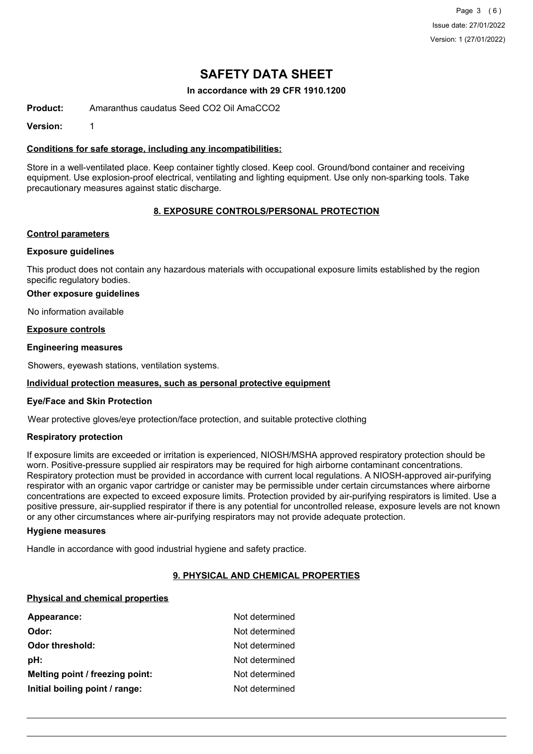Page 3 (6) Issue date: 27/01/2022 Version: 1 (27/01/2022)

# **SAFETY DATA SHEET**

#### **In accordance with 29 CFR 1910.1200**

**Product:** Amaranthus caudatus Seed CO2 Oil AmaCCO2

**Version:** 1

#### **Conditions for safe storage, including any incompatibilities:**

Store in a well-ventilated place. Keep container tightly closed. Keep cool. Ground/bond container and receiving equipment. Use explosion-proof electrical, ventilating and lighting equipment. Use only non-sparking tools. Take precautionary measures against static discharge.

## **8. EXPOSURE CONTROLS/PERSONAL PROTECTION**

#### **Control parameters**

#### **Exposure guidelines**

This product does not contain any hazardous materials with occupational exposure limits established by the region specific regulatory bodies.

#### **Other exposure guidelines**

No information available

#### **Exposure controls**

#### **Engineering measures**

Showers, eyewash stations, ventilation systems.

#### **Individual protection measures, such as personal protective equipment**

#### **Eye/Face and Skin Protection**

Wear protective gloves/eye protection/face protection, and suitable protective clothing

#### **Respiratory protection**

If exposure limits are exceeded or irritation is experienced, NIOSH/MSHA approved respiratory protection should be worn. Positive-pressure supplied air respirators may be required for high airborne contaminant concentrations. Respiratory protection must be provided in accordance with current local regulations. A NIOSH-approved air-purifying respirator with an organic vapor cartridge or canister may be permissible under certain circumstances where airborne concentrations are expected to exceed exposure limits. Protection provided by air-purifying respirators is limited. Use a positive pressure, air-supplied respirator if there is any potential for uncontrolled release, exposure levels are not known or any other circumstances where air-purifying respirators may not provide adequate protection.

#### **Hygiene measures**

Handle in accordance with good industrial hygiene and safety practice.

#### **9. PHYSICAL AND CHEMICAL PROPERTIES**

#### **Physical and chemical properties**

| Appearance:                     | Not determined |
|---------------------------------|----------------|
| Odor:                           | Not determined |
| Odor threshold:                 | Not determined |
| pH:                             | Not determined |
| Melting point / freezing point: | Not determined |
| Initial boiling point / range:  | Not determined |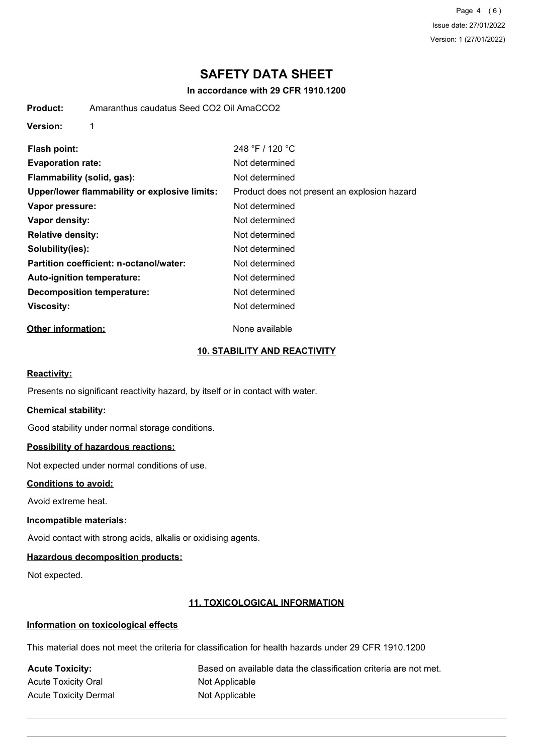Page 4 (6) Issue date: 27/01/2022 Version: 1 (27/01/2022)

# **SAFETY DATA SHEET**

#### **In accordance with 29 CFR 1910.1200**

**Product:** Amaranthus caudatus Seed CO2 Oil AmaCCO2

**Version:** 1

| Flash point:                                  | 248 °F / 120 °C                              |  |  |  |
|-----------------------------------------------|----------------------------------------------|--|--|--|
| <b>Evaporation rate:</b>                      | Not determined                               |  |  |  |
| Flammability (solid, gas):                    | Not determined                               |  |  |  |
| Upper/lower flammability or explosive limits: | Product does not present an explosion hazard |  |  |  |
| Vapor pressure:                               | Not determined                               |  |  |  |
| Vapor density:                                | Not determined                               |  |  |  |
| <b>Relative density:</b>                      | Not determined                               |  |  |  |
| Solubility(ies):                              | Not determined                               |  |  |  |
| Partition coefficient: n-octanol/water:       | Not determined                               |  |  |  |
| Auto-ignition temperature:                    | Not determined                               |  |  |  |
| <b>Decomposition temperature:</b>             | Not determined                               |  |  |  |
| Viscosity:                                    | Not determined                               |  |  |  |

# **Other information:** None available

### **10. STABILITY AND REACTIVITY**

#### **Reactivity:**

Presents no significant reactivity hazard, by itself or in contact with water.

#### **Chemical stability:**

Good stability under normal storage conditions.

# **Possibility of hazardous reactions:**

Not expected under normal conditions of use.

#### **Conditions to avoid:**

Avoid extreme heat.

#### **Incompatible materials:**

Avoid contact with strong acids, alkalis or oxidising agents.

# **Hazardous decomposition products:**

Not expected.

## **11. TOXICOLOGICAL INFORMATION**

#### **Information on toxicological effects**

This material does not meet the criteria for classification for health hazards under 29 CFR 1910.1200

Acute Toxicity Oral Not Applicable Acute Toxicity Dermal Not Applicable

Acute Toxicity: **Acute Toxicity:** Based on available data the classification criteria are not met.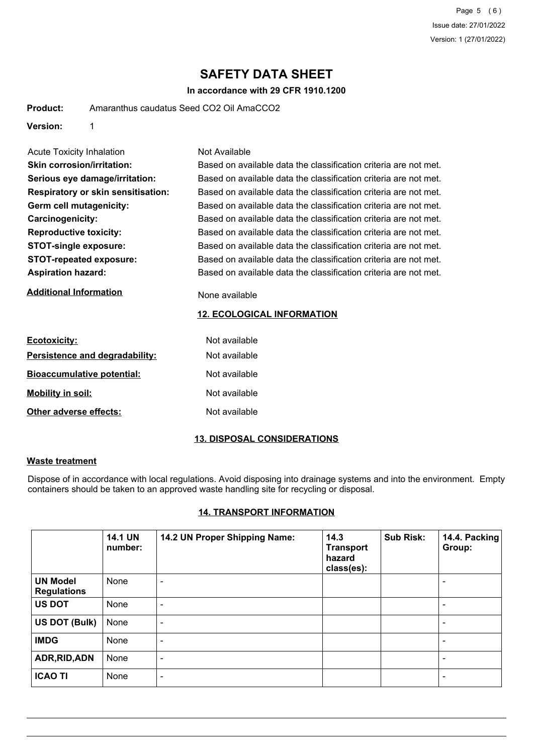Page 5 (6) Issue date: 27/01/2022 Version: 1 (27/01/2022)

# **SAFETY DATA SHEET**

## **In accordance with 29 CFR 1910.1200**

| Amaranthus caudatus Seed CO2 Oil AmaCCO2<br><b>Product:</b> |  |
|-------------------------------------------------------------|--|
|-------------------------------------------------------------|--|

**Version:** 1

| Acute Toxicity Inhalation                 | Not Available                                                    |
|-------------------------------------------|------------------------------------------------------------------|
| <b>Skin corrosion/irritation:</b>         | Based on available data the classification criteria are not met. |
| Serious eye damage/irritation:            | Based on available data the classification criteria are not met. |
| <b>Respiratory or skin sensitisation:</b> | Based on available data the classification criteria are not met. |
| Germ cell mutagenicity:                   | Based on available data the classification criteria are not met. |
| <b>Carcinogenicity:</b>                   | Based on available data the classification criteria are not met. |
| <b>Reproductive toxicity:</b>             | Based on available data the classification criteria are not met. |
| <b>STOT-single exposure:</b>              | Based on available data the classification criteria are not met. |
| <b>STOT-repeated exposure:</b>            | Based on available data the classification criteria are not met. |
| <b>Aspiration hazard:</b>                 | Based on available data the classification criteria are not met. |
| <b>Additional Information</b>             | None available                                                   |

#### **12. ECOLOGICAL INFORMATION**

| <b>Ecotoxicity:</b>               | Not available |
|-----------------------------------|---------------|
| Persistence and degradability:    | Not available |
| <b>Bioaccumulative potential:</b> | Not available |
| <b>Mobility in soil:</b>          | Not available |
| Other adverse effects:            | Not available |

# **13. DISPOSAL CONSIDERATIONS**

#### **Waste treatment**

Dispose of in accordance with local regulations. Avoid disposing into drainage systems and into the environment. Empty containers should be taken to an approved waste handling site for recycling or disposal.

## **14. TRANSPORT INFORMATION**

|                                       | <b>14.1 UN</b><br>number: | 14.2 UN Proper Shipping Name: | 14.3<br><b>Transport</b><br>hazard<br>class(es): | <b>Sub Risk:</b> | 14.4. Packing<br>Group:  |
|---------------------------------------|---------------------------|-------------------------------|--------------------------------------------------|------------------|--------------------------|
| <b>UN Model</b><br><b>Regulations</b> | None                      | $\blacksquare$                |                                                  |                  | $\overline{\phantom{a}}$ |
| <b>US DOT</b>                         | None                      | $\blacksquare$                |                                                  |                  | $\blacksquare$           |
| US DOT (Bulk)                         | None                      | $\blacksquare$                |                                                  |                  | $\,$ $\,$                |
| <b>IMDG</b>                           | None                      | $\overline{\phantom{a}}$      |                                                  |                  | $\blacksquare$           |
| ADR, RID, ADN                         | None                      | $\,$ $\,$                     |                                                  |                  | $\blacksquare$           |
| <b>ICAO TI</b>                        | None                      | $\blacksquare$                |                                                  |                  | $\overline{\phantom{a}}$ |